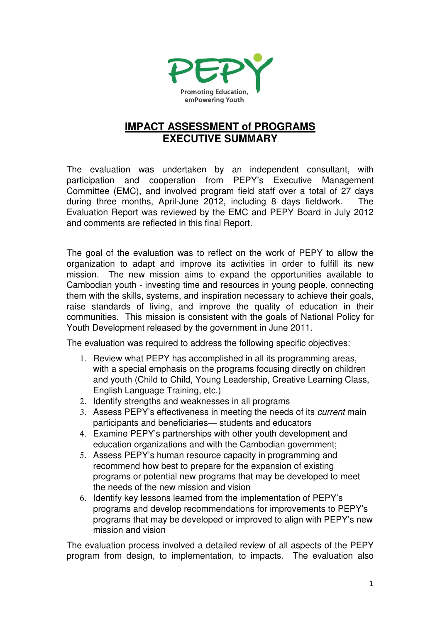

# **IMPACT ASSESSMENT of PROGRAMS EXECUTIVE SUMMARY**

The evaluation was undertaken by an independent consultant, with participation and cooperation from PEPY's Executive Management Committee (EMC), and involved program field staff over a total of 27 days during three months, April-June 2012, including 8 days fieldwork. The Evaluation Report was reviewed by the EMC and PEPY Board in July 2012 and comments are reflected in this final Report.

The goal of the evaluation was to reflect on the work of PEPY to allow the organization to adapt and improve its activities in order to fulfill its new mission. The new mission aims to expand the opportunities available to Cambodian youth - investing time and resources in young people, connecting them with the skills, systems, and inspiration necessary to achieve their goals, raise standards of living, and improve the quality of education in their communities. This mission is consistent with the goals of National Policy for Youth Development released by the government in June 2011.

The evaluation was required to address the following specific objectives:

- 1. Review what PEPY has accomplished in all its programming areas, with a special emphasis on the programs focusing directly on children and youth (Child to Child, Young Leadership, Creative Learning Class, English Language Training, etc.)
- 2. Identify strengths and weaknesses in all programs
- 3. Assess PEPY's effectiveness in meeting the needs of its current main participants and beneficiaries— students and educators
- 4. Examine PEPY's partnerships with other youth development and education organizations and with the Cambodian government;
- 5. Assess PEPY's human resource capacity in programming and recommend how best to prepare for the expansion of existing programs or potential new programs that may be developed to meet the needs of the new mission and vision
- 6. Identify key lessons learned from the implementation of PEPY's programs and develop recommendations for improvements to PEPY's programs that may be developed or improved to align with PEPY's new mission and vision

The evaluation process involved a detailed review of all aspects of the PEPY program from design, to implementation, to impacts. The evaluation also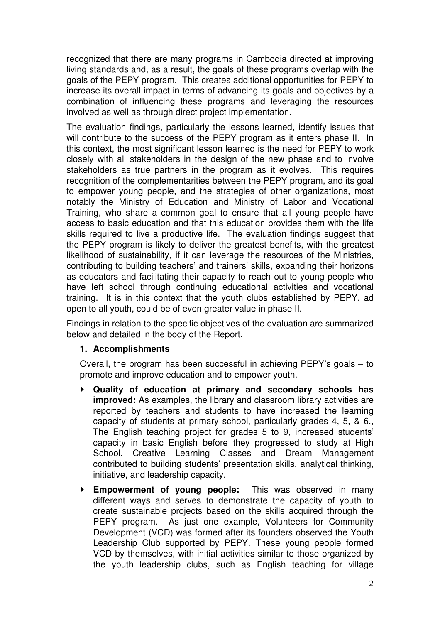recognized that there are many programs in Cambodia directed at improving living standards and, as a result, the goals of these programs overlap with the goals of the PEPY program. This creates additional opportunities for PEPY to increase its overall impact in terms of advancing its goals and objectives by a combination of influencing these programs and leveraging the resources involved as well as through direct project implementation.

The evaluation findings, particularly the lessons learned, identify issues that will contribute to the success of the PEPY program as it enters phase II. In this context, the most significant lesson learned is the need for PEPY to work closely with all stakeholders in the design of the new phase and to involve stakeholders as true partners in the program as it evolves. This requires recognition of the complementarities between the PEPY program, and its goal to empower young people, and the strategies of other organizations, most notably the Ministry of Education and Ministry of Labor and Vocational Training, who share a common goal to ensure that all young people have access to basic education and that this education provides them with the life skills required to live a productive life. The evaluation findings suggest that the PEPY program is likely to deliver the greatest benefits, with the greatest likelihood of sustainability, if it can leverage the resources of the Ministries, contributing to building teachers' and trainers' skills, expanding their horizons as educators and facilitating their capacity to reach out to young people who have left school through continuing educational activities and vocational training. It is in this context that the youth clubs established by PEPY, ad open to all youth, could be of even greater value in phase II.

Findings in relation to the specific objectives of the evaluation are summarized below and detailed in the body of the Report.

# **1. Accomplishments**

Overall, the program has been successful in achieving PEPY's goals – to promote and improve education and to empower youth. -

- **Quality of education at primary and secondary schools has improved:** As examples, the library and classroom library activities are reported by teachers and students to have increased the learning capacity of students at primary school, particularly grades 4, 5, & 6., The English teaching project for grades 5 to 9, increased students' capacity in basic English before they progressed to study at High School. Creative Learning Classes and Dream Management contributed to building students' presentation skills, analytical thinking, initiative, and leadership capacity.
- **Empowerment of young people:** This was observed in many different ways and serves to demonstrate the capacity of youth to create sustainable projects based on the skills acquired through the PEPY program.As just one example, Volunteers for Community Development (VCD) was formed after its founders observed the Youth Leadership Club supported by PEPY. These young people formed VCD by themselves, with initial activities similar to those organized by the youth leadership clubs, such as English teaching for village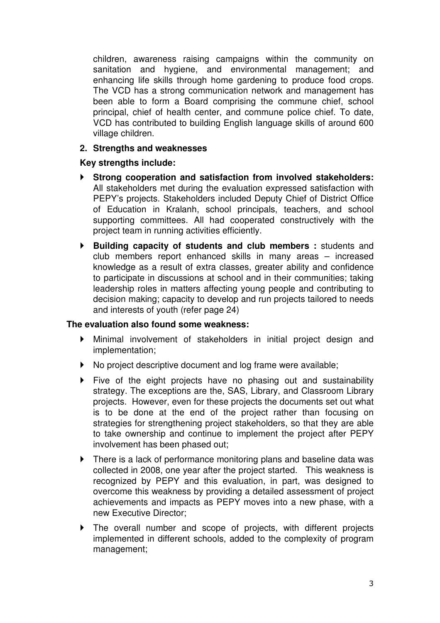children, awareness raising campaigns within the community on sanitation and hygiene, and environmental management; and enhancing life skills through home gardening to produce food crops. The VCD has a strong communication network and management has been able to form a Board comprising the commune chief, school principal, chief of health center, and commune police chief. To date, VCD has contributed to building English language skills of around 600 village children.

## **2. Strengths and weaknesses**

## **Key strengths include:**

- **Strong cooperation and satisfaction from involved stakeholders:** All stakeholders met during the evaluation expressed satisfaction with PEPY's projects. Stakeholders included Deputy Chief of District Office of Education in Kralanh, school principals, teachers, and school supporting committees. All had cooperated constructively with the project team in running activities efficiently.
- **Building capacity of students and club members :** students and club members report enhanced skills in many areas – increased knowledge as a result of extra classes, greater ability and confidence to participate in discussions at school and in their communities; taking leadership roles in matters affecting young people and contributing to decision making; capacity to develop and run projects tailored to needs and interests of youth (refer page 24)

#### **The evaluation also found some weakness:**

- Minimal involvement of stakeholders in initial project design and implementation;
- ▶ No project descriptive document and log frame were available;
- Five of the eight projects have no phasing out and sustainability strategy. The exceptions are the, SAS, Library, and Classroom Library projects. However, even for these projects the documents set out what is to be done at the end of the project rather than focusing on strategies for strengthening project stakeholders, so that they are able to take ownership and continue to implement the project after PEPY involvement has been phased out;
- ▶ There is a lack of performance monitoring plans and baseline data was collected in 2008, one year after the project started. This weakness is recognized by PEPY and this evaluation, in part, was designed to overcome this weakness by providing a detailed assessment of project achievements and impacts as PEPY moves into a new phase, with a new Executive Director;
- The overall number and scope of projects, with different projects implemented in different schools, added to the complexity of program management;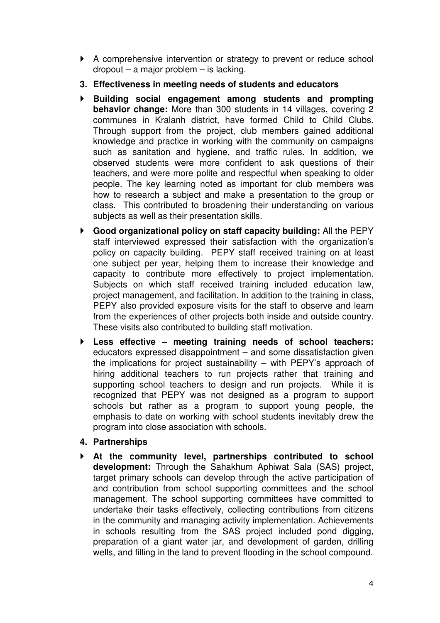- A comprehensive intervention or strategy to prevent or reduce school dropout – a major problem – is lacking.
- **3. Effectiveness in meeting needs of students and educators**
- **Building social engagement among students and prompting behavior change:** More than 300 students in 14 villages, covering 2 communes in Kralanh district, have formed Child to Child Clubs. Through support from the project, club members gained additional knowledge and practice in working with the community on campaigns such as sanitation and hygiene, and traffic rules. In addition, we observed students were more confident to ask questions of their teachers, and were more polite and respectful when speaking to older people. The key learning noted as important for club members was how to research a subject and make a presentation to the group or class. This contributed to broadening their understanding on various subjects as well as their presentation skills.
- **Good organizational policy on staff capacity building:** All the PEPY staff interviewed expressed their satisfaction with the organization's policy on capacity building. PEPY staff received training on at least one subject per year, helping them to increase their knowledge and capacity to contribute more effectively to project implementation. Subjects on which staff received training included education law, project management, and facilitation. In addition to the training in class, PEPY also provided exposure visits for the staff to observe and learn from the experiences of other projects both inside and outside country. These visits also contributed to building staff motivation.
- **Less effective meeting training needs of school teachers:**  educators expressed disappointment – and some dissatisfaction given the implications for project sustainability – with PEPY's approach of hiring additional teachers to run projects rather that training and supporting school teachers to design and run projects. While it is recognized that PEPY was not designed as a program to support schools but rather as a program to support young people, the emphasis to date on working with school students inevitably drew the program into close association with schools.
- **4. Partnerships**
- **At the community level, partnerships contributed to school development:** Through the Sahakhum Aphiwat Sala (SAS) project, target primary schools can develop through the active participation of and contribution from school supporting committees and the school management. The school supporting committees have committed to undertake their tasks effectively, collecting contributions from citizens in the community and managing activity implementation. Achievements in schools resulting from the SAS project included pond digging, preparation of a giant water jar, and development of garden, drilling wells, and filling in the land to prevent flooding in the school compound.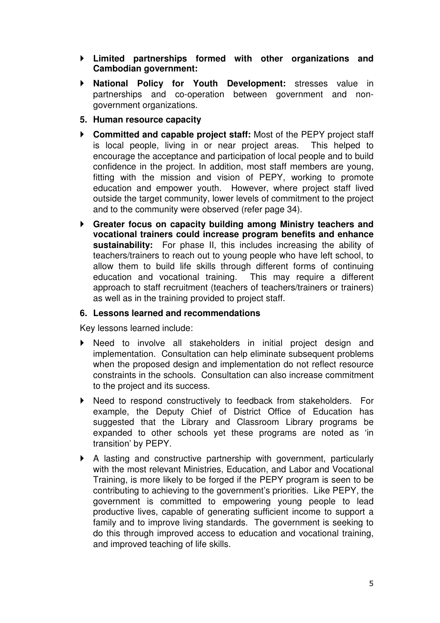- **Limited partnerships formed with other organizations and Cambodian government:**
- **National Policy for Youth Development:** stresses value in partnerships and co-operation between government and nongovernment organizations.
- **5. Human resource capacity**
- **Committed and capable project staff:** Most of the PEPY project staff is local people, living in or near project areas. This helped to encourage the acceptance and participation of local people and to build confidence in the project. In addition, most staff members are young, fitting with the mission and vision of PEPY, working to promote education and empower youth. However, where project staff lived outside the target community, lower levels of commitment to the project and to the community were observed (refer page 34).
- **Greater focus on capacity building among Ministry teachers and vocational trainers could increase program benefits and enhance sustainability:** For phase II, this includes increasing the ability of teachers/trainers to reach out to young people who have left school, to allow them to build life skills through different forms of continuing education and vocational training. This may require a different approach to staff recruitment (teachers of teachers/trainers or trainers) as well as in the training provided to project staff.

### **6. Lessons learned and recommendations**

Key lessons learned include:

- Need to involve all stakeholders in initial project design and implementation. Consultation can help eliminate subsequent problems when the proposed design and implementation do not reflect resource constraints in the schools. Consultation can also increase commitment to the project and its success.
- ▶ Need to respond constructively to feedback from stakeholders. For example, the Deputy Chief of District Office of Education has suggested that the Library and Classroom Library programs be expanded to other schools yet these programs are noted as 'in transition' by PEPY.
- A lasting and constructive partnership with government, particularly with the most relevant Ministries, Education, and Labor and Vocational Training, is more likely to be forged if the PEPY program is seen to be contributing to achieving to the government's priorities. Like PEPY, the government is committed to empowering young people to lead productive lives, capable of generating sufficient income to support a family and to improve living standards. The government is seeking to do this through improved access to education and vocational training, and improved teaching of life skills.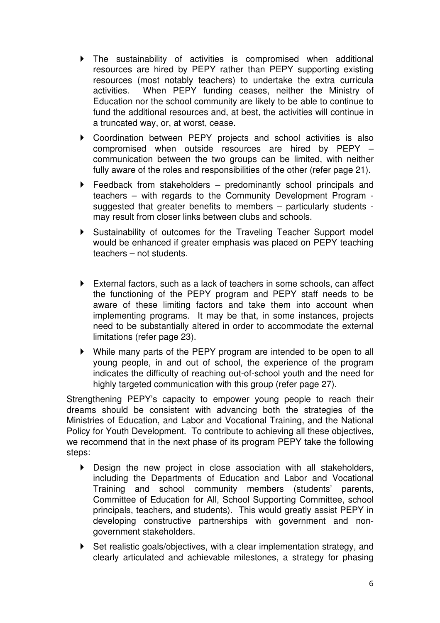- The sustainability of activities is compromised when additional resources are hired by PEPY rather than PEPY supporting existing resources (most notably teachers) to undertake the extra curricula activities. When PEPY funding ceases, neither the Ministry of Education nor the school community are likely to be able to continue to fund the additional resources and, at best, the activities will continue in a truncated way, or, at worst, cease.
- Coordination between PEPY projects and school activities is also compromised when outside resources are hired by PEPY – communication between the two groups can be limited, with neither fully aware of the roles and responsibilities of the other (refer page 21).
- Feedback from stakeholders predominantly school principals and teachers – with regards to the Community Development Program suggested that greater benefits to members – particularly students may result from closer links between clubs and schools.
- Sustainability of outcomes for the Traveling Teacher Support model would be enhanced if greater emphasis was placed on PEPY teaching teachers – not students.
- External factors, such as a lack of teachers in some schools, can affect the functioning of the PEPY program and PEPY staff needs to be aware of these limiting factors and take them into account when implementing programs. It may be that, in some instances, projects need to be substantially altered in order to accommodate the external limitations (refer page 23).
- While many parts of the PEPY program are intended to be open to all young people, in and out of school, the experience of the program indicates the difficulty of reaching out-of-school youth and the need for highly targeted communication with this group (refer page 27).

Strengthening PEPY's capacity to empower young people to reach their dreams should be consistent with advancing both the strategies of the Ministries of Education, and Labor and Vocational Training, and the National Policy for Youth Development. To contribute to achieving all these objectives, we recommend that in the next phase of its program PEPY take the following steps:

- Design the new project in close association with all stakeholders, including the Departments of Education and Labor and Vocational Training and school community members (students' parents, Committee of Education for All, School Supporting Committee, school principals, teachers, and students). This would greatly assist PEPY in developing constructive partnerships with government and nongovernment stakeholders.
- Set realistic goals/objectives, with a clear implementation strategy, and clearly articulated and achievable milestones, a strategy for phasing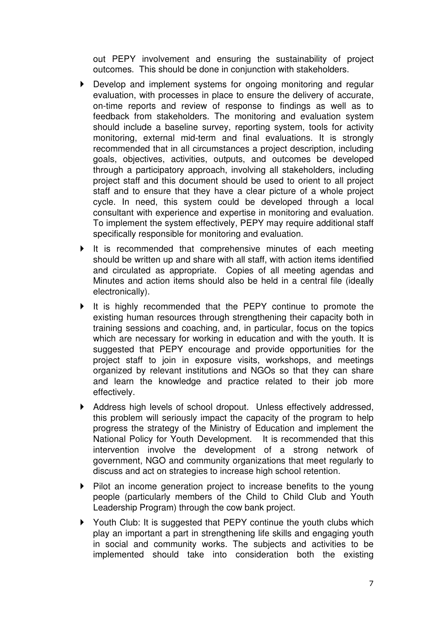out PEPY involvement and ensuring the sustainability of project outcomes. This should be done in conjunction with stakeholders.

- Develop and implement systems for ongoing monitoring and regular evaluation, with processes in place to ensure the delivery of accurate, on-time reports and review of response to findings as well as to feedback from stakeholders. The monitoring and evaluation system should include a baseline survey, reporting system, tools for activity monitoring, external mid-term and final evaluations. It is strongly recommended that in all circumstances a project description, including goals, objectives, activities, outputs, and outcomes be developed through a participatory approach, involving all stakeholders, including project staff and this document should be used to orient to all project staff and to ensure that they have a clear picture of a whole project cycle. In need, this system could be developed through a local consultant with experience and expertise in monitoring and evaluation. To implement the system effectively, PEPY may require additional staff specifically responsible for monitoring and evaluation.
- $\blacktriangleright$  It is recommended that comprehensive minutes of each meeting should be written up and share with all staff, with action items identified and circulated as appropriate. Copies of all meeting agendas and Minutes and action items should also be held in a central file (ideally electronically).
- It is highly recommended that the PEPY continue to promote the existing human resources through strengthening their capacity both in training sessions and coaching, and, in particular, focus on the topics which are necessary for working in education and with the youth. It is suggested that PEPY encourage and provide opportunities for the project staff to join in exposure visits, workshops, and meetings organized by relevant institutions and NGOs so that they can share and learn the knowledge and practice related to their job more effectively.
- Address high levels of school dropout. Unless effectively addressed, this problem will seriously impact the capacity of the program to help progress the strategy of the Ministry of Education and implement the National Policy for Youth Development. It is recommended that this intervention involve the development of a strong network of government, NGO and community organizations that meet regularly to discuss and act on strategies to increase high school retention.
- Pilot an income generation project to increase benefits to the young people (particularly members of the Child to Child Club and Youth Leadership Program) through the cow bank project.
- ▶ Youth Club: It is suggested that PEPY continue the youth clubs which play an important a part in strengthening life skills and engaging youth in social and community works. The subjects and activities to be implemented should take into consideration both the existing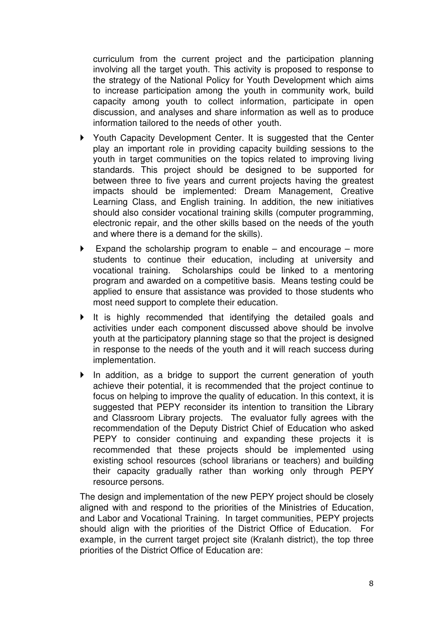curriculum from the current project and the participation planning involving all the target youth. This activity is proposed to response to the strategy of the National Policy for Youth Development which aims to increase participation among the youth in community work, build capacity among youth to collect information, participate in open discussion, and analyses and share information as well as to produce information tailored to the needs of other youth.

- ▶ Youth Capacity Development Center. It is suggested that the Center play an important role in providing capacity building sessions to the youth in target communities on the topics related to improving living standards. This project should be designed to be supported for between three to five years and current projects having the greatest impacts should be implemented: Dream Management, Creative Learning Class, and English training. In addition, the new initiatives should also consider vocational training skills (computer programming, electronic repair, and the other skills based on the needs of the youth and where there is a demand for the skills).
- Expand the scholarship program to enable and encourage more students to continue their education, including at university and vocational training. Scholarships could be linked to a mentoring program and awarded on a competitive basis. Means testing could be applied to ensure that assistance was provided to those students who most need support to complete their education.
- $\triangleright$  It is highly recommended that identifying the detailed goals and activities under each component discussed above should be involve youth at the participatory planning stage so that the project is designed in response to the needs of the youth and it will reach success during implementation.
- In addition, as a bridge to support the current generation of youth achieve their potential, it is recommended that the project continue to focus on helping to improve the quality of education. In this context, it is suggested that PEPY reconsider its intention to transition the Library and Classroom Library projects. The evaluator fully agrees with the recommendation of the Deputy District Chief of Education who asked PEPY to consider continuing and expanding these projects it is recommended that these projects should be implemented using existing school resources (school librarians or teachers) and building their capacity gradually rather than working only through PEPY resource persons.

The design and implementation of the new PEPY project should be closely aligned with and respond to the priorities of the Ministries of Education, and Labor and Vocational Training. In target communities, PEPY projects should align with the priorities of the District Office of Education. For example, in the current target project site (Kralanh district), the top three priorities of the District Office of Education are: